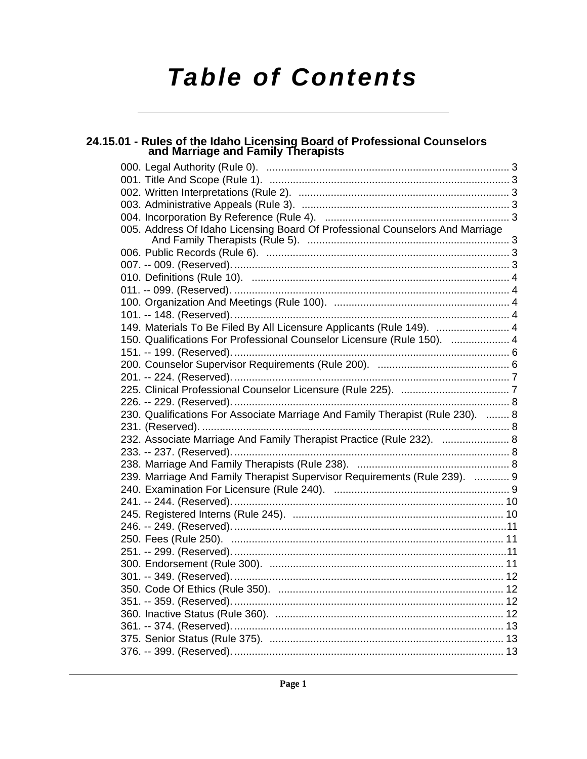# **Table of Contents**

# 24.15.01 - Rules of the Idaho Licensing Board of Professional Counselors<br>and Marriage and Family Therapists

| 005. Address Of Idaho Licensing Board Of Professional Counselors And Marriage  |  |
|--------------------------------------------------------------------------------|--|
|                                                                                |  |
|                                                                                |  |
|                                                                                |  |
|                                                                                |  |
|                                                                                |  |
|                                                                                |  |
| 149. Materials To Be Filed By All Licensure Applicants (Rule 149).  4          |  |
| 150. Qualifications For Professional Counselor Licensure (Rule 150).  4        |  |
|                                                                                |  |
|                                                                                |  |
|                                                                                |  |
|                                                                                |  |
|                                                                                |  |
| 230. Qualifications For Associate Marriage And Family Therapist (Rule 230).  8 |  |
|                                                                                |  |
| 232. Associate Marriage And Family Therapist Practice (Rule 232).  8           |  |
|                                                                                |  |
|                                                                                |  |
| 239. Marriage And Family Therapist Supervisor Requirements (Rule 239).  9      |  |
|                                                                                |  |
|                                                                                |  |
|                                                                                |  |
|                                                                                |  |
|                                                                                |  |
|                                                                                |  |
|                                                                                |  |
|                                                                                |  |
|                                                                                |  |
|                                                                                |  |
|                                                                                |  |
|                                                                                |  |
|                                                                                |  |
|                                                                                |  |
|                                                                                |  |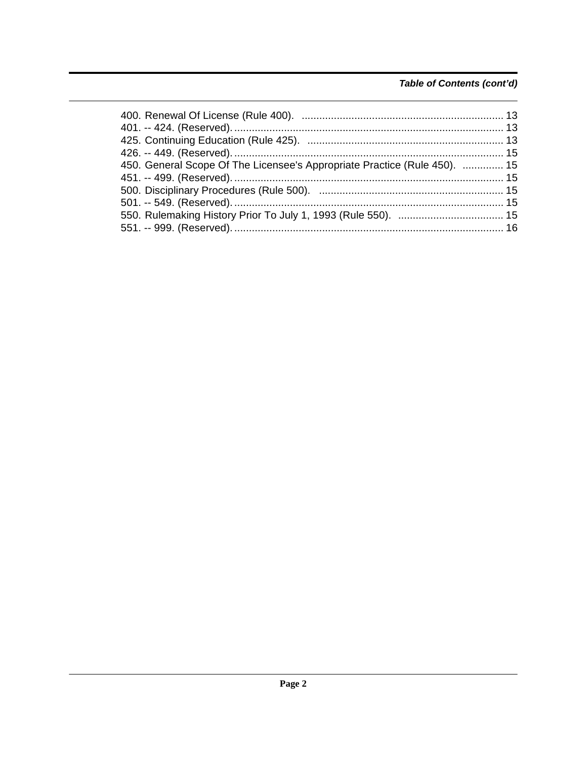## Table of Contents (cont'd)

| 450. General Scope Of The Licensee's Appropriate Practice (Rule 450).  15 |
|---------------------------------------------------------------------------|
|                                                                           |
|                                                                           |
|                                                                           |
|                                                                           |
|                                                                           |
|                                                                           |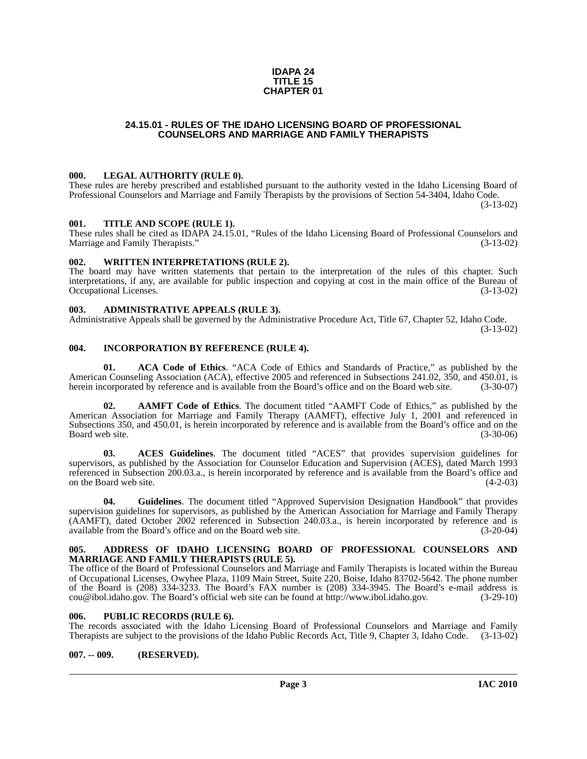#### **IDAPA 24 TITLE 15 CHAPTER 01**

#### **24.15.01 - RULES OF THE IDAHO LICENSING BOARD OF PROFESSIONAL COUNSELORS AND MARRIAGE AND FAMILY THERAPISTS**

#### <span id="page-2-1"></span><span id="page-2-0"></span>**000. LEGAL AUTHORITY (RULE 0).**

These rules are hereby prescribed and established pursuant to the authority vested in the Idaho Licensing Board of Professional Counselors and Marriage and Family Therapists by the provisions of Section 54-3404, Idaho Code. (3-13-02)

#### <span id="page-2-2"></span>**001. TITLE AND SCOPE (RULE 1).**

These rules shall be cited as IDAPA 24.15.01, "Rules of the Idaho Licensing Board of Professional Counselors and Marriage and Family Therapists." (3-13-02) Marriage and Family Therapists."

#### <span id="page-2-3"></span>**002. WRITTEN INTERPRETATIONS (RULE 2).**

The board may have written statements that pertain to the interpretation of the rules of this chapter. Such interpretations, if any, are available for public inspection and copying at cost in the main office of the Bureau of Occupational Licenses. (3-13-02) Occupational Licenses.

#### <span id="page-2-4"></span>**003. ADMINISTRATIVE APPEALS (RULE 3).**

Administrative Appeals shall be governed by the Administrative Procedure Act, Title 67, Chapter 52, Idaho Code.

(3-13-02)

#### <span id="page-2-5"></span>**004. INCORPORATION BY REFERENCE (RULE 4).**

**01. ACA Code of Ethics**. "ACA Code of Ethics and Standards of Practice," as published by the American Counseling Association (ACA), effective 2005 and referenced in Subsections 241.02, 350, and 450.01, is herein incorporated by reference and is available from the Board's office and on the Board web site. (3-30-07)

**02. AAMFT Code of Ethics**. The document titled "AAMFT Code of Ethics," as published by the American Association for Marriage and Family Therapy (AAMFT), effective July 1, 2001 and referenced in Subsections 350, and 450.01, is herein incorporated by reference and is available from the Board's office and on the Board web site. (3-30-06)

**03. ACES Guidelines**. The document titled "ACES" that provides supervision guidelines for supervisors, as published by the Association for Counselor Education and Supervision (ACES), dated March 1993 referenced in Subsection 200.03.a., is herein incorporated by reference and is available from the Board's office and on the Board web site. (4-2-03)

**04. Guidelines**. The document titled "Approved Supervision Designation Handbook" that provides supervision guidelines for supervisors, as published by the American Association for Marriage and Family Therapy (AAMFT), dated October 2002 referenced in Subsection 240.03.a., is herein incorporated by reference and is available from the Board's office and on the Board web site. (3-20-04)

#### <span id="page-2-6"></span>**005. ADDRESS OF IDAHO LICENSING BOARD OF PROFESSIONAL COUNSELORS AND MARRIAGE AND FAMILY THERAPISTS (RULE 5).**

[The office of the Board of Professional Counselors and Marriage and Family Therapists is located within the Bureau](mailto:cou@ibol.idaho.gov) of Occupational Licenses, Owyhee Plaza, 1109 Main Street, Suite 220, Boise, Idaho 83702-5642. The phone number of the Board is (208) 334-3233. The Board's FAX number is (208) 334-3945. The Board's e-mail address is [cou@ibol.idaho.gov. The Board's official web site can be found at](mailto:cou@ibol.idaho.gov) [http://www.ibol.idaho.gov. \(3-29-10\)](http://www.ibol.idaho.gov)

#### <span id="page-2-7"></span>**006. PUBLIC RECORDS (RULE 6).**

The records associated with the Idaho Licensing Board of Professional Counselors and Marriage and Family Therapists are subject to the provisions of the Idaho Public Records Act, Title 9, Chapter 3, Idaho Code. (3-13-02)

#### <span id="page-2-8"></span>**007. -- 009. (RESERVED).**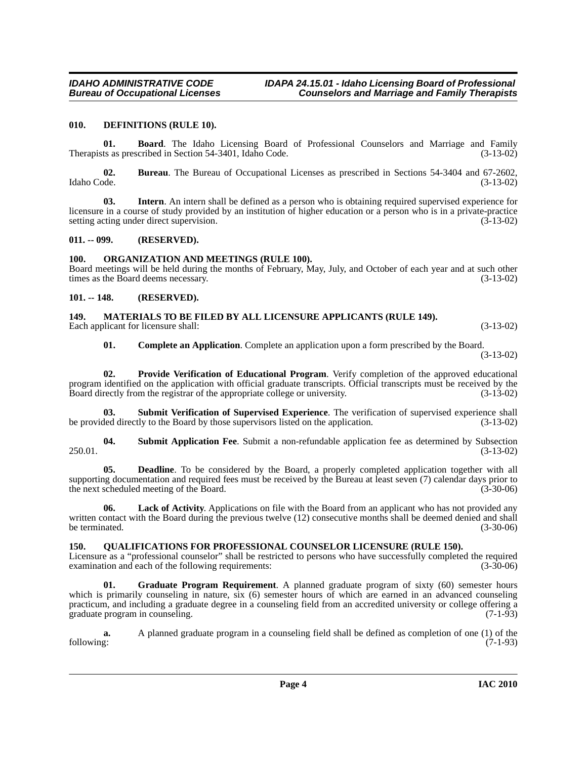#### <span id="page-3-7"></span><span id="page-3-0"></span>**010. DEFINITIONS (RULE 10).**

**01. Board**. The Idaho Licensing Board of Professional Counselors and Marriage and Family Therapists as prescribed in Section 54-3401, Idaho Code. (3-13-02)

**02. Bureau**. The Bureau of Occupational Licenses as prescribed in Sections 54-3404 and 67-2602, Idaho Code. (3-13-02)

**03. Intern**. An intern shall be defined as a person who is obtaining required supervised experience for licensure in a course of study provided by an institution of higher education or a person who is in a private-practice setting acting under direct supervision. (3-13-02)

#### <span id="page-3-1"></span>**011. -- 099. (RESERVED).**

#### <span id="page-3-11"></span><span id="page-3-2"></span>**100. ORGANIZATION AND MEETINGS (RULE 100).**

Board meetings will be held during the months of February, May, July, and October of each year and at such other times as the Board deems necessary. (3-13-02)

#### <span id="page-3-3"></span>**101. -- 148. (RESERVED).**

#### <span id="page-3-10"></span><span id="page-3-4"></span>**149. MATERIALS TO BE FILED BY ALL LICENSURE APPLICANTS (RULE 149).** Each applicant for licensure shall: (3-13-02) (3-13-02)

<span id="page-3-15"></span><span id="page-3-12"></span>**01. Complete an Application**. Complete an application upon a form prescribed by the Board.

(3-13-02)

**02. Provide Verification of Educational Program**. Verify completion of the approved educational program identified on the application with official graduate transcripts. Official transcripts must be received by the Board directly from the registrar of the appropriate college or university. (3-13-02)

**03. Submit Verification of Supervised Experience**. The verification of supervised experience shall be provided directly to the Board by those supervisors listed on the application. (3-13-02)

<span id="page-3-14"></span>**04. Submit Application Fee**. Submit a non-refundable application fee as determined by Subsection 250.01. (3-13-02)

<span id="page-3-6"></span>**05. Deadline**. To be considered by the Board, a properly completed application together with all supporting documentation and required fees must be received by the Bureau at least seven (7) calendar days prior to<br>(3-30-06) (3-30-06) the next scheduled meeting of the Board.

<span id="page-3-9"></span>**06. Lack of Activity**. Applications on file with the Board from an applicant who has not provided any written contact with the Board during the previous twelve (12) consecutive months shall be deemed denied and shall<br>(3-30-06) (3-30-06) be terminated.

#### <span id="page-3-13"></span><span id="page-3-5"></span>**150. QUALIFICATIONS FOR PROFESSIONAL COUNSELOR LICENSURE (RULE 150).**

Licensure as a "professional counselor" shall be restricted to persons who have successfully completed the required examination and each of the following requirements: (3-30-06)

<span id="page-3-8"></span>**Graduate Program Requirement**. A planned graduate program of sixty (60) semester hours which is primarily counseling in nature, six (6) semester hours of which are earned in an advanced counseling practicum, and including a graduate degree in a counseling field from an accredited university or college offering a graduate program in counseling. (7-1-93)

**a.** A planned graduate program in a counseling field shall be defined as completion of one (1) of the following: (7-1-93) following: (7-1-93)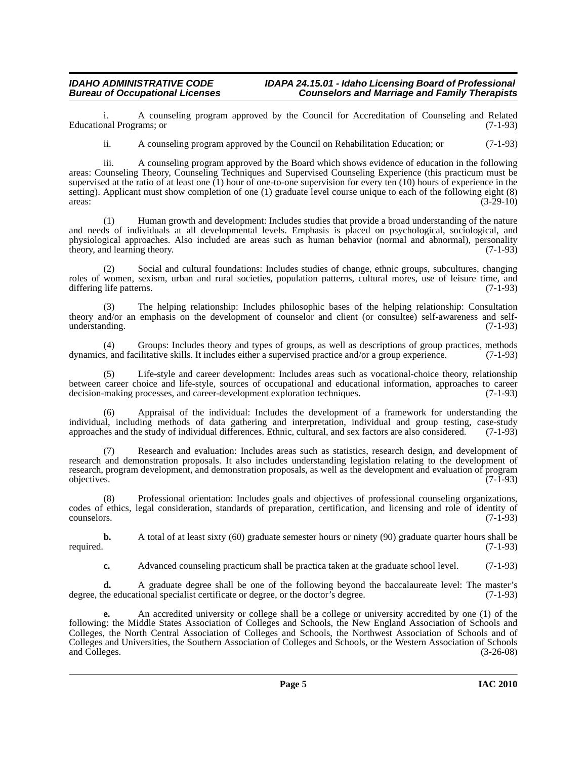i. A counseling program approved by the Council for Accreditation of Counseling and Related Educational Programs; or

ii. A counseling program approved by the Council on Rehabilitation Education; or (7-1-93)

iii. A counseling program approved by the Board which shows evidence of education in the following areas: Counseling Theory, Counseling Techniques and Supervised Counseling Experience (this practicum must be supervised at the ratio of at least one  $(1)$  hour of one-to-one supervision for every ten  $(10)$  hours of experience in the setting). Applicant must show completion of one (1) graduate level course unique to each of the following eight (8)  $\frac{1}{3}$  areas:  $(3-29-10)$ 

(1) Human growth and development: Includes studies that provide a broad understanding of the nature and needs of individuals at all developmental levels. Emphasis is placed on psychological, sociological, and physiological approaches. Also included are areas such as human behavior (normal and abnormal), personality theory, and learning theory. (7-1-93)

(2) Social and cultural foundations: Includes studies of change, ethnic groups, subcultures, changing roles of women, sexism, urban and rural societies, population patterns, cultural mores, use of leisure time, and differing life patterns. (7-1-93)

(3) The helping relationship: Includes philosophic bases of the helping relationship: Consultation theory and/or an emphasis on the development of counselor and client (or consultee) self-awareness and self-<br>understanding. (7-1-93) understanding.

(4) Groups: Includes theory and types of groups, as well as descriptions of group practices, methods  $s$ , and facilitative skills. It includes either a supervised practice and/or a group experience. (7-1-93) dynamics, and facilitative skills. It includes either a supervised practice and/or a group experience.

(5) Life-style and career development: Includes areas such as vocational-choice theory, relationship between career choice and life-style, sources of occupational and educational information, approaches to career decision-making processes, and career-development exploration techniques. (7-1-93)

(6) Appraisal of the individual: Includes the development of a framework for understanding the individual, including methods of data gathering and interpretation, individual and group testing, case-study approaches and the study of individual differences. Ethnic, cultural, and sex factors are also considered. (7-1-93)

(7) Research and evaluation: Includes areas such as statistics, research design, and development of research and demonstration proposals. It also includes understanding legislation relating to the development of research, program development, and demonstration proposals, as well as the development and evaluation of program  $\omega$  objectives.  $(7-1-93)$ 

(8) Professional orientation: Includes goals and objectives of professional counseling organizations, codes of ethics, legal consideration, standards of preparation, certification, and licensing and role of identity of  $\epsilon$  counselors. (7-1-93)

**b.** A total of at least sixty (60) graduate semester hours or ninety (90) graduate quarter hours shall be required. (7-1-93) required. (7-1-93)

**c.** Advanced counseling practicum shall be practica taken at the graduate school level. (7-1-93)

**d.** A graduate degree shall be one of the following beyond the baccalaureate level: The master's degree, the educational specialist certificate or degree, or the doctor's degree. (7-1-93)

**e.** An accredited university or college shall be a college or university accredited by one (1) of the following: the Middle States Association of Colleges and Schools, the New England Association of Schools and Colleges, the North Central Association of Colleges and Schools, the Northwest Association of Schools and of Colleges and Universities, the Southern Association of Colleges and Schools, or the Western Association of Schools and Colleges. (3-26-08)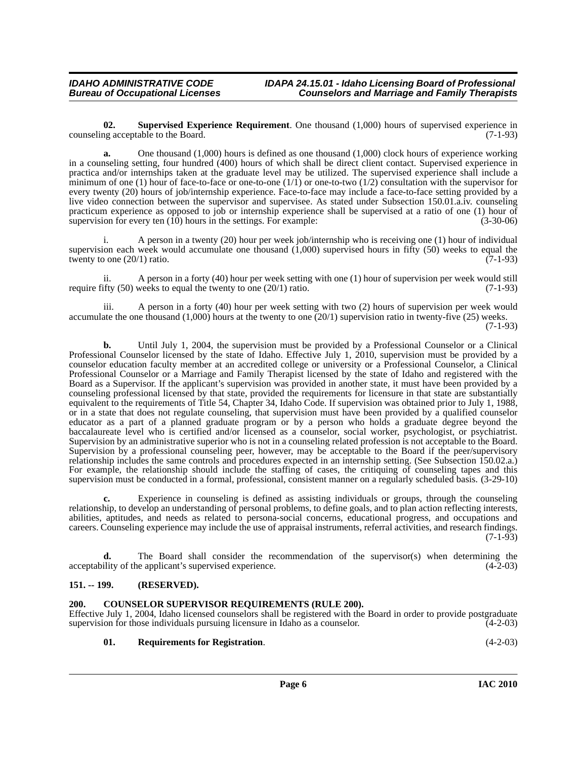<span id="page-5-4"></span>**02. Supervised Experience Requirement**. One thousand (1,000) hours of supervised experience in counseling acceptable to the Board. (7-1-93)

**a.** One thousand (1,000) hours is defined as one thousand (1,000) clock hours of experience working in a counseling setting, four hundred (400) hours of which shall be direct client contact. Supervised experience in practica and/or internships taken at the graduate level may be utilized. The supervised experience shall include a minimum of one (1) hour of face-to-face or one-to-one  $(1/1)$  or one-to-two  $(1/2)$  consultation with the supervisor for every twenty (20) hours of job/internship experience. Face-to-face may include a face-to-face setting provided by a live video connection between the supervisor and supervisee. As stated under Subsection 150.01.a.iv. counseling practicum experience as opposed to job or internship experience shall be supervised at a ratio of one (1) hour of supervision for every ten  $(10)$  hours in the settings. For example:  $(3-30-06)$ 

i. A person in a twenty (20) hour per week job/internship who is receiving one (1) hour of individual supervision each week would accumulate one thousand  $(1,000)$  supervised hours in fifty (50) weeks to equal the twenty to one  $(20/1)$  ratio.  $(7-1-93)$ twenty to one  $(20/1)$  ratio.

ii. A person in a forty (40) hour per week setting with one (1) hour of supervision per week would still require fifty (50) weeks to equal the twenty to one  $(20/1)$  ratio.  $(7-1-93)$ 

iii. A person in a forty (40) hour per week setting with two (2) hours of supervision per week would accumulate the one thousand (1,000) hours at the twenty to one (20/1) supervision ratio in twenty-five (25) weeks. (7-1-93)

**b.** Until July 1, 2004, the supervision must be provided by a Professional Counselor or a Clinical Professional Counselor licensed by the state of Idaho. Effective July 1, 2010, supervision must be provided by a counselor education faculty member at an accredited college or university or a Professional Counselor, a Clinical Professional Counselor or a Marriage and Family Therapist licensed by the state of Idaho and registered with the Board as a Supervisor. If the applicant's supervision was provided in another state, it must have been provided by a counseling professional licensed by that state, provided the requirements for licensure in that state are substantially equivalent to the requirements of Title 54, Chapter 34, Idaho Code. If supervision was obtained prior to July 1, 1988, or in a state that does not regulate counseling, that supervision must have been provided by a qualified counselor educator as a part of a planned graduate program or by a person who holds a graduate degree beyond the baccalaureate level who is certified and/or licensed as a counselor, social worker, psychologist, or psychiatrist. Supervision by an administrative superior who is not in a counseling related profession is not acceptable to the Board. Supervision by a professional counseling peer, however, may be acceptable to the Board if the peer/supervisory relationship includes the same controls and procedures expected in an internship setting. (See Subsection 150.02.a.) For example, the relationship should include the staffing of cases, the critiquing of counseling tapes and this supervision must be conducted in a formal, professional, consistent manner on a regularly scheduled basis. (3-29-10)

**c.** Experience in counseling is defined as assisting individuals or groups, through the counseling relationship, to develop an understanding of personal problems, to define goals, and to plan action reflecting interests, abilities, aptitudes, and needs as related to persona-social concerns, educational progress, and occupations and careers. Counseling experience may include the use of appraisal instruments, referral activities, and research findings.  $(7-1-93)$ 

**d.** The Board shall consider the recommendation of the supervisor(s) when determining the acceptability of the applicant's supervised experience. (4-2-03)

### <span id="page-5-0"></span>**151. -- 199. (RESERVED).**

#### <span id="page-5-2"></span><span id="page-5-1"></span>**200. COUNSELOR SUPERVISOR REQUIREMENTS (RULE 200).**

Effective July 1, 2004, Idaho licensed counselors shall be registered with the Board in order to provide postgraduate supervision for those individuals pursuing licensure in Idaho as a counselor. (4-2-03)

#### <span id="page-5-3"></span>**01. Requirements for Registration**. (4-2-03)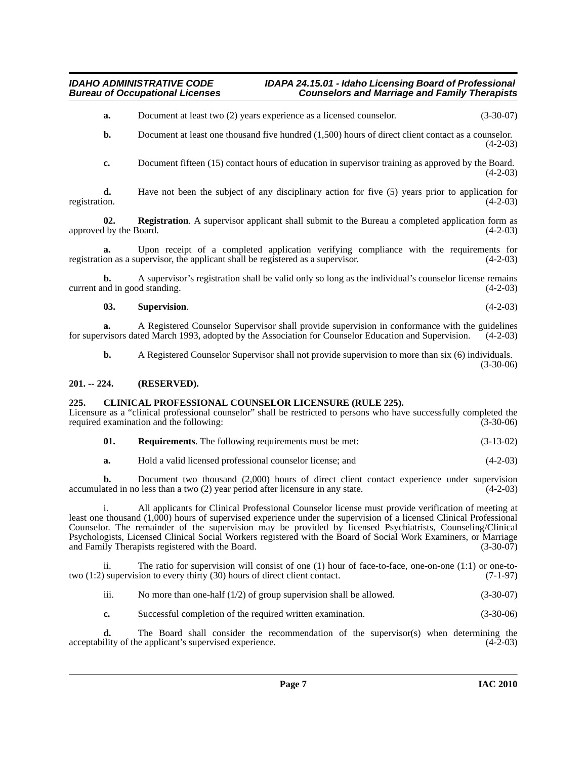**a.** Document at least two (2) years experience as a licensed counselor. (3-30-07)

**b.** Document at least one thousand five hundred (1,500) hours of direct client contact as a counselor.  $(4-2-03)$ 

**c.** Document fifteen (15) contact hours of education in supervisor training as approved by the Board.  $(4-2-03)$ 

**d.** Have not been the subject of any disciplinary action for five (5) years prior to application for registration. (4-2-03)

**02.** Registration. A supervisor applicant shall submit to the Bureau a completed application form as 1 by the Board. (4-2-03) approved by the Board.

**a.** Upon receipt of a completed application verifying compliance with the requirements for on as a supervisor, the applicant shall be registered as a supervisor.  $(4-2-03)$ registration as a supervisor, the applicant shall be registered as a supervisor.

**b.** A supervisor's registration shall be valid only so long as the individual's counselor license remains current and in good standing. (4-2-03)

| 03. | Supervision. |  | $(4-2-03)$ |
|-----|--------------|--|------------|
|-----|--------------|--|------------|

**a.** A Registered Counselor Supervisor shall provide supervision in conformance with the guidelines for supervisors dated March 1993, adopted by the Association for Counselor Education and Supervision. (4-2-03)

**b.** A Registered Counselor Supervisor shall not provide supervision to more than six (6) individuals. (3-30-06)

#### <span id="page-6-0"></span>**201. -- 224. (RESERVED).**

#### <span id="page-6-2"></span><span id="page-6-1"></span>**225. CLINICAL PROFESSIONAL COUNSELOR LICENSURE (RULE 225).**

Licensure as a "clinical professional counselor" shall be restricted to persons who have successfully completed the required examination and the following: (3-30-06)

- **01. Requirements**. The following requirements must be met: (3-13-02)
- **a.** Hold a valid licensed professional counselor license; and (4-2-03)

**b.** Document two thousand (2,000) hours of direct client contact experience under supervision ated in no less than a two (2) year period after licensure in any state. (4-2-03) accumulated in no less than a two  $(2)$  year period after licensure in any state.

i. All applicants for Clinical Professional Counselor license must provide verification of meeting at least one thousand (1,000) hours of supervised experience under the supervision of a licensed Clinical Professional Counselor. The remainder of the supervision may be provided by licensed Psychiatrists, Counseling/Clinical Psychologists, Licensed Clinical Social Workers registered with the Board of Social Work Examiners, or Marriage and Family Therapists registered with the Board.

ii. The ratio for supervision will consist of one (1) hour of face-to-face, one-on-one (1:1) or one-totwo (1:2) supervision to every thirty (30) hours of direct client contact. (7-1-97)

- iii. No more than one-half (1/2) of group supervision shall be allowed. (3-30-07)
- **c.** Successful completion of the required written examination. (3-30-06)

**d.** The Board shall consider the recommendation of the supervisor(s) when determining the ility of the applicant's supervised experience. (4-2-03) acceptability of the applicant's supervised experience.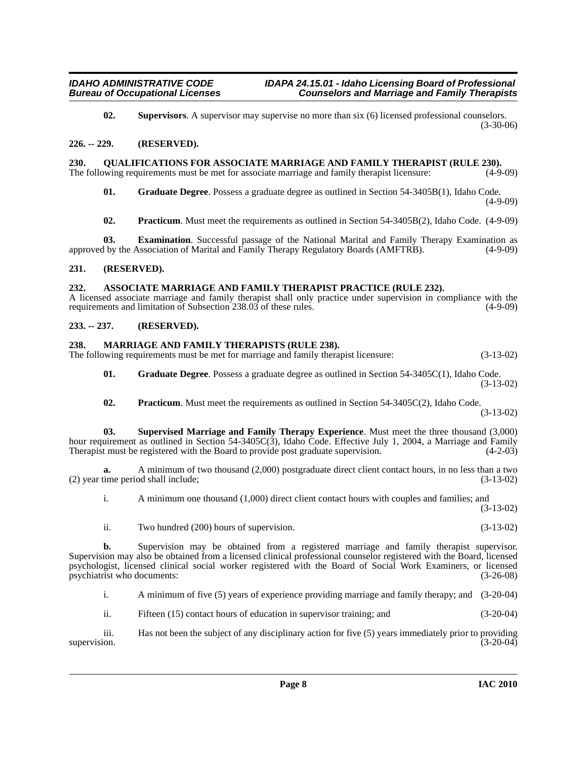<span id="page-7-11"></span>**02.** Supervisors. A supervisor may supervise no more than six (6) licensed professional counselors.  $(3-30-06)$ 

#### <span id="page-7-0"></span>**226. -- 229. (RESERVED).**

## <span id="page-7-9"></span><span id="page-7-1"></span>**230. QUALIFICATIONS FOR ASSOCIATE MARRIAGE AND FAMILY THERAPIST (RULE 230).**<br>The following requirements must be met for associate marriage and family therapist licensure: (4-9-09)

The following requirements must be met for associate marriage and family therapist licensure:

**01. Graduate Degree**. Possess a graduate degree as outlined in Section 54-3405B(1), Idaho Code. (4-9-09)

**02. Practicum**. Must meet the requirements as outlined in Section 54-3405B(2), Idaho Code. (4-9-09)

**03. Examination**. Successful passage of the National Marital and Family Therapy Examination as approved by the Association of Marital and Family Therapy Regulatory Boards (AMFTRB). (4-9-09)

#### <span id="page-7-2"></span>**231. (RESERVED).**

#### <span id="page-7-3"></span>**232. ASSOCIATE MARRIAGE AND FAMILY THERAPIST PRACTICE (RULE 232).**

A licensed associate marriage and family therapist shall only practice under supervision in compliance with the requirements and limitation of Subsection 238.03 of these rules. (4-9-09)

#### <span id="page-7-4"></span>**233. -- 237. (RESERVED).**

#### <span id="page-7-7"></span><span id="page-7-5"></span>**238. MARRIAGE AND FAMILY THERAPISTS (RULE 238).**

The following requirements must be met for marriage and family therapist licensure: (3-13-02)

<span id="page-7-6"></span>**01. Graduate Degree**. Possess a graduate degree as outlined in Section 54-3405C(1), Idaho Code.

<span id="page-7-10"></span><span id="page-7-8"></span>(3-13-02) **02.** Practicum. Must meet the requirements as outlined in Section 54-3405C(2), Idaho Code.

(3-13-02)

**03. Supervised Marriage and Family Therapy Experience**. Must meet the three thousand (3,000) hour requirement as outlined in Section 54-3405C(3), Idaho Code. Effective July 1, 2004, a Marriage and Family Therapist must be registered with the Board to provide post graduate supervision. (4-2-03)

**a.** A minimum of two thousand (2,000) postgraduate direct client contact hours, in no less than a two (2) year time period shall include; (3-13-02)

i. A minimum one thousand (1,000) direct client contact hours with couples and families; and (3-13-02)

ii. Two hundred (200) hours of supervision. (3-13-02)

**b.** Supervision may be obtained from a registered marriage and family therapist supervisor. Supervision may also be obtained from a licensed clinical professional counselor registered with the Board, licensed psychologist, licensed clinical social worker registered with the Board of Social Work Examiners, or licensed psychiatrist who documents:

i. A minimum of five (5) years of experience providing marriage and family therapy; and (3-20-04)

ii. Fifteen (15) contact hours of education in supervisor training; and (3-20-04)

iii. Has not been the subject of any disciplinary action for five (5) years immediately prior to providing supervision. (3-20-04) supervision.  $(3-20-04)$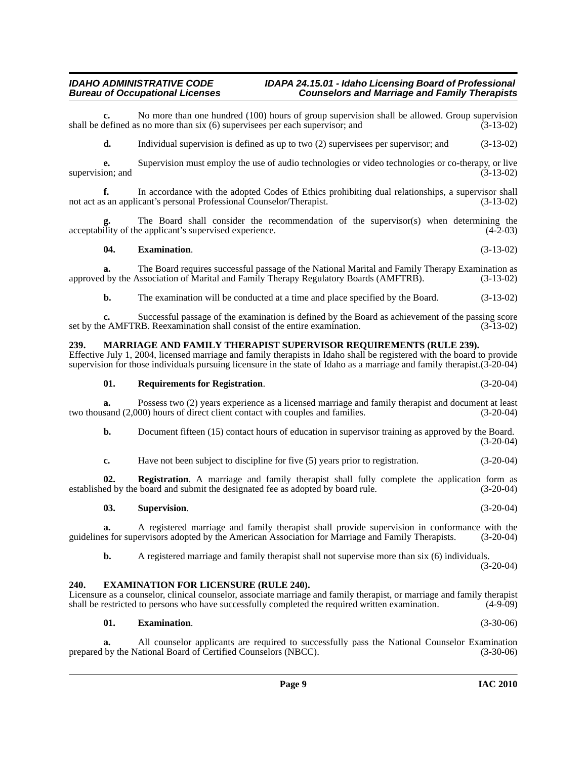**c.** No more than one hundred (100) hours of group supervision shall be allowed. Group supervision defined as no more than six (6) supervisees per each supervisor: and  $(3-13-02)$ shall be defined as no more than  $s$ ix  $(6)$  supervisees per each supervisor; and

**d.** Individual supervision is defined as up to two (2) supervisees per supervisor; and (3-13-02)

**e.** Supervision must employ the use of audio technologies or video technologies or co-therapy, or live ion; and  $(3-13-02)$ supervision; and

**f.** In accordance with the adopted Codes of Ethics prohibiting dual relationships, a supervisor shall not act as an applicant's personal Professional Counselor/Therapist. (3-13-02)

The Board shall consider the recommendation of the supervisor(s) when determining the e applicant's supervised experience. (4-2-03) acceptability of the applicant's supervised experience.

#### <span id="page-8-2"></span>**04. Examination**. (3-13-02)

**a.** The Board requires successful passage of the National Marital and Family Therapy Examination as approved by the Association of Marital and Family Therapy Regulatory Boards (AMFTRB). (3-13-02)

**b.** The examination will be conducted at a time and place specified by the Board.  $(3-13-02)$ 

**c.** Successful passage of the examination is defined by the Board as achievement of the passing score e AMFTRB. Reexamination shall consist of the entire examination. (3-13-02) set by the AMFTRB. Reexamination shall consist of the entire examination.

#### <span id="page-8-5"></span><span id="page-8-0"></span>**239. MARRIAGE AND FAMILY THERAPIST SUPERVISOR REQUIREMENTS (RULE 239).**

Effective July 1, 2004, licensed marriage and family therapists in Idaho shall be registered with the board to provide supervision for those individuals pursuing licensure in the state of Idaho as a marriage and family therapist.(3-20-04)

#### **01. Requirements for Registration**. (3-20-04)

**a.** Possess two (2) years experience as a licensed marriage and family therapist and document at least sand (2,000) hours of direct client contact with couples and families. (3-20-04) two thousand (2,000) hours of direct client contact with couples and families.

**b.** Document fifteen (15) contact hours of education in supervisor training as approved by the Board. (3-20-04)

**c.** Have not been subject to discipline for five (5) years prior to registration.  $(3-20-04)$ 

**02.** Registration. A marriage and family therapist shall fully complete the application form as ed by the board and submit the designated fee as adopted by board rule. (3-20-04) established by the board and submit the designated fee as adopted by board rule.

#### **03. Supervision**. (3-20-04)

**a.** A registered marriage and family therapist shall provide supervision in conformance with the es for supervisors adopted by the American Association for Marriage and Family Therapists. (3-20-04) guidelines for supervisors adopted by the American Association for Marriage and Family Therapists.

<span id="page-8-3"></span>**b.** A registered marriage and family therapist shall not supervise more than six (6) individuals. (3-20-04)

#### <span id="page-8-1"></span>**240. EXAMINATION FOR LICENSURE (RULE 240).**

#### Licensure as a counselor, clinical counselor, associate marriage and family therapist, or marriage and family therapist shall be restricted to persons who have successfully completed the required written examination. (4-9-09)

#### <span id="page-8-4"></span>**01. Examination**. (3-30-06)

**a.** All counselor applicants are required to successfully pass the National Counselor Examination prepared by the National Board of Certified Counselors (NBCC). (3-30-06)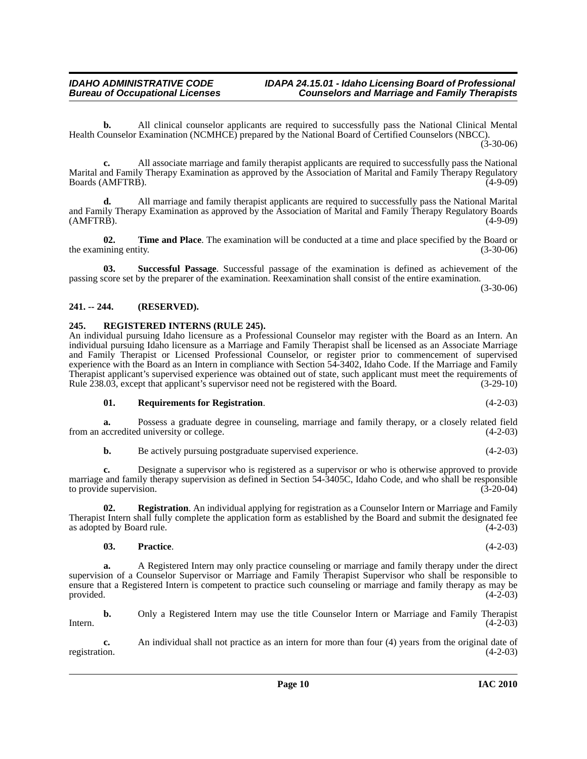**b.** All clinical counselor applicants are required to successfully pass the National Clinical Mental Health Counselor Examination (NCMHCE) prepared by the National Board of Certified Counselors (NBCC). (3-30-06)

**c.** All associate marriage and family therapist applicants are required to successfully pass the National Marital and Family Therapy Examination as approved by the Association of Marital and Family Therapy Regulatory Boards (AMFTRB).  $(4-9-09)$ 

**d.** All marriage and family therapist applicants are required to successfully pass the National Marital and Family Therapy Examination as approved by the Association of Marital and Family Therapy Regulatory Boards  $(AMFTRB)$ . (4-9-09)

<span id="page-9-5"></span>**02. Time and Place**. The examination will be conducted at a time and place specified by the Board or the examining entity. (3-30-06) the examining entity.

<span id="page-9-4"></span>**03. Successful Passage**. Successful passage of the examination is defined as achievement of the passing score set by the preparer of the examination. Reexamination shall consist of the entire examination.

(3-30-06)

#### <span id="page-9-0"></span>**241. -- 244. (RESERVED).**

#### <span id="page-9-2"></span><span id="page-9-1"></span>**245. REGISTERED INTERNS (RULE 245).**

An individual pursuing Idaho licensure as a Professional Counselor may register with the Board as an Intern. An individual pursuing Idaho licensure as a Marriage and Family Therapist shall be licensed as an Associate Marriage and Family Therapist or Licensed Professional Counselor, or register prior to commencement of supervised experience with the Board as an Intern in compliance with Section 54-3402, Idaho Code. If the Marriage and Family Therapist applicant's supervised experience was obtained out of state, such applicant must meet the requirements of Rule 238.03, except that applicant's supervisor need not be registered with the Board. (3-29-10)

#### <span id="page-9-3"></span>**01. Requirements for Registration**. (4-2-03)

**a.** Possess a graduate degree in counseling, marriage and family therapy, or a closely related field from an accredited university or college. (4-2-03)

**b.** Be actively pursuing postgraduate supervised experience. (4-2-03)

**c.** Designate a supervisor who is registered as a supervisor or who is otherwise approved to provide marriage and family therapy supervision as defined in Section 54-3405C, Idaho Code, and who shall be responsible to provide supervision. (3-20-04) to provide supervision.

**02. Registration**. An individual applying for registration as a Counselor Intern or Marriage and Family Therapist Intern shall fully complete the application form as established by the Board and submit the designated fee as adopted by Board rule.

#### **03. Practice**. (4-2-03)

**a.** A Registered Intern may only practice counseling or marriage and family therapy under the direct supervision of a Counselor Supervisor or Marriage and Family Therapist Supervisor who shall be responsible to ensure that a Registered Intern is competent to practice such counseling or marriage and family therapy as may be provided.  $(4-2-03)$ 

**b.** Only a Registered Intern may use the title Counselor Intern or Marriage and Family Therapist (4-2-03) Intern.  $(4-2-03)$ 

**c.** An individual shall not practice as an intern for more than four (4) years from the original date of registration. (4-2-03)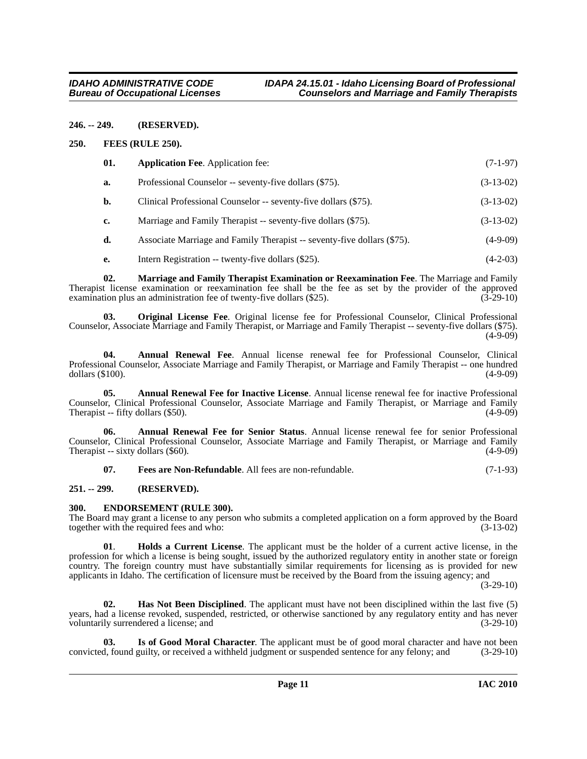#### <span id="page-10-0"></span>**246. -- 249. (RESERVED).**

#### <span id="page-10-1"></span>**250. FEES (RULE 250).**

<span id="page-10-9"></span><span id="page-10-7"></span>

| 01. | <b>Application Fee.</b> Application fee:                                | $(7-1-97)$  |
|-----|-------------------------------------------------------------------------|-------------|
| a.  | Professional Counselor -- seventy-five dollars (\$75).                  | $(3-13-02)$ |
| b.  | Clinical Professional Counselor -- seventy-five dollars (\$75).         | $(3-13-02)$ |
| c.  | Marriage and Family Therapist -- seventy-five dollars (\$75).           | $(3-13-02)$ |
| d.  | Associate Marriage and Family Therapist -- seventy-five dollars (\$75). | $(4-9-09)$  |
| e.  | Intern Registration -- twenty-five dollars (\$25).                      | $(4-2-03)$  |

<span id="page-10-14"></span>**02. Marriage and Family Therapist Examination or Reexamination Fee**. The Marriage and Family Therapist license examination or reexamination fee shall be the fee as set by the provider of the approved examination plus an administration fee of twenty-five dollars  $(\$25)$ .  $(3-29-10)$ 

<span id="page-10-15"></span>**03. Original License Fee**. Original license fee for Professional Counselor, Clinical Professional Counselor, Associate Marriage and Family Therapist, or Marriage and Family Therapist -- seventy-five dollars (\$75).  $(4-9-09)$ 

<span id="page-10-4"></span>**04. Annual Renewal Fee**. Annual license renewal fee for Professional Counselor, Clinical Professional Counselor, Associate Marriage and Family Therapist, or Marriage and Family Therapist -- one hundred dollars  $(\$100)$ .

<span id="page-10-5"></span>**05. Annual Renewal Fee for Inactive License**. Annual license renewal fee for inactive Professional Counselor, Clinical Professional Counselor, Associate Marriage and Family Therapist, or Marriage and Family Therapist -- fifty dollars  $(\$50)$ . (4-9-09)

**06. Annual Renewal Fee for Senior Status**. Annual license renewal fee for senior Professional Counselor, Clinical Professional Counselor, Associate Marriage and Family Therapist, or Marriage and Family Therapist -- sixty dollars (\$60). (4-9-09)

<span id="page-10-10"></span><span id="page-10-8"></span><span id="page-10-6"></span>**07. Fees are Non-Refundable**. All fees are non-refundable. (7-1-93)

#### <span id="page-10-2"></span>**251. -- 299. (RESERVED).**

#### <span id="page-10-3"></span>**300. ENDORSEMENT (RULE 300).**

The Board may grant a license to any person who submits a completed application on a form approved by the Board together with the required fees and who:  $(3-13-02)$ together with the required fees and who:

<span id="page-10-13"></span>**01**. **Holds a Current License**. The applicant must be the holder of a current active license, in the profession for which a license is being sought, issued by the authorized regulatory entity in another state or foreign country. The foreign country must have substantially similar requirements for licensing as is provided for new applicants in Idaho. The certification of licensure must be received by the Board from the issuing agency; and

(3-29-10)

<span id="page-10-12"></span>**Has Not Been Disciplined**. The applicant must have not been disciplined within the last five (5) years, had a license revoked, suspended, restricted, or otherwise sanctioned by any regulatory entity and has never voluntarily surrendered a license; and (3-29-10)

<span id="page-10-11"></span>**03. Is of Good Moral Character**. The applicant must be of good moral character and have not been convicted, found guilty, or received a withheld judgment or suspended sentence for any felony; and (3-29-10)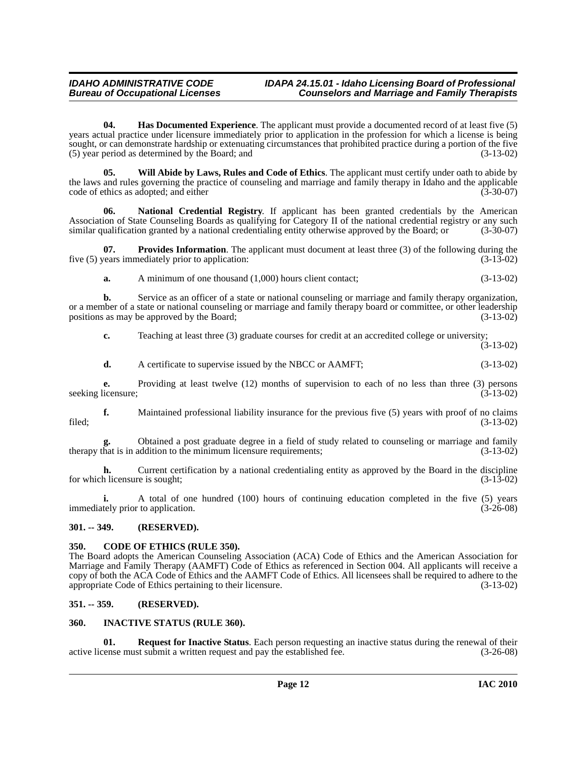**04. Has Documented Experience**. The applicant must provide a documented record of at least five (5) years actual practice under licensure immediately prior to application in the profession for which a license is being sought, or can demonstrate hardship or extenuating circumstances that prohibited practice during a portion of the five (5) year period as determined by the Board; and (3-13-02)

<span id="page-11-4"></span>**05. Will Abide by Laws, Rules and Code of Ethics**. The applicant must certify under oath to abide by the laws and rules governing the practice of counseling and marriage and family therapy in Idaho and the applicable code of ethics as adopted; and either (3-30-07)

**06. National Credential Registry**. If applicant has been granted credentials by the American Association of State Counseling Boards as qualifying for Category II of the national credential registry or any such similar qualification granted by a national credentialing entity otherwise approved by the Board; or (3-3 similar qualification granted by a national credentialing entity otherwise approved by the Board; or

**07. Provides Information**. The applicant must document at least three (3) of the following during the rears immediately prior to application: (3-13-02) five  $(5)$  years immediately prior to application:

<span id="page-11-7"></span>**a.** A minimum of one thousand (1,000) hours client contact; (3-13-02)

**b.** Service as an officer of a state or national counseling or marriage and family therapy organization, or a member of a state or national counseling or marriage and family therapy board or committee, or other leadership positions as may be approved by the Board; (3-13-02) positions as may be approved by the Board;

**c.** Teaching at least three (3) graduate courses for credit at an accredited college or university;  $(3-13-02)$ 

**d.** A certificate to supervise issued by the NBCC or AAMFT; (3-13-02)

**e.** Providing at least twelve (12) months of supervision to each of no less than three (3) persons seeking licensure; (3-13-02)

**f.** Maintained professional liability insurance for the previous five (5) years with proof of no claims filed; (3-13-02)

**g.** Obtained a post graduate degree in a field of study related to counseling or marriage and family therapy that is in addition to the minimum licensure requirements; (3-13-02)

**h.** Current certification by a national credentialing entity as approved by the Board in the discipline for which licensure is sought; (3-13-02)

**i.** A total of one hundred (100) hours of continuing education completed in the five (5) years immediately prior to application. (3-26-08)

### <span id="page-11-0"></span>**301. -- 349. (RESERVED).**

#### <span id="page-11-5"></span><span id="page-11-1"></span>**350. CODE OF ETHICS (RULE 350).**

The Board adopts the American Counseling Association (ACA) Code of Ethics and the American Association for Marriage and Family Therapy (AAMFT) Code of Ethics as referenced in Section 004. All applicants will receive a copy of both the ACA Code of Ethics and the AAMFT Code of Ethics. All licensees shall be required to adhere to the appropriate Code of Ethics pertaining to their licensure. (3-13-02) appropriate Code of Ethics pertaining to their licensure.

## <span id="page-11-2"></span>**351. -- 359. (RESERVED).**

#### <span id="page-11-6"></span><span id="page-11-3"></span>**360. INACTIVE STATUS (RULE 360).**

**Request for Inactive Status**. Each person requesting an inactive status during the renewal of their active license must submit a written request and pay the established fee. (3-26-08)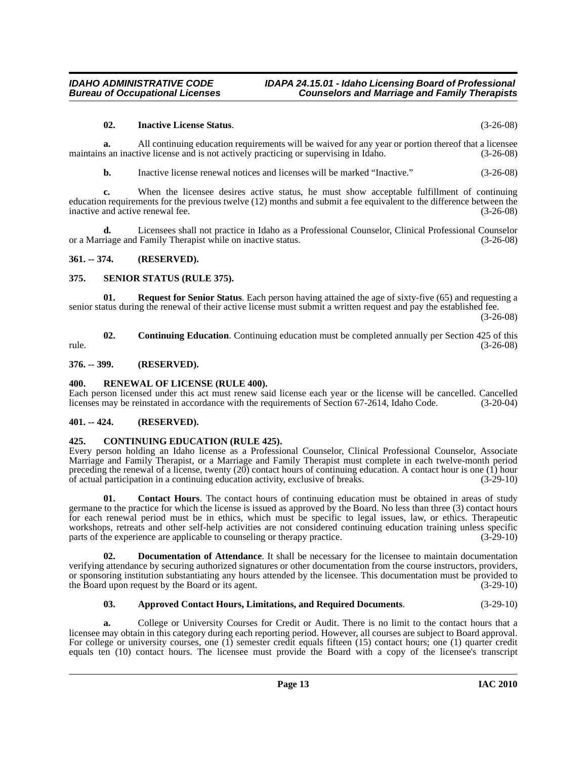#### **02. Inactive License Status**. (3-26-08)

**a.** All continuing education requirements will be waived for any year or portion thereof that a licensee maintains an inactive license and is not actively practicing or supervising in Idaho. (3-26-08)

**b.** Inactive license renewal notices and licenses will be marked "Inactive." (3-26-08)

**c.** When the licensee desires active status, he must show acceptable fulfillment of continuing education requirements for the previous twelve (12) months and submit a fee equivalent to the difference between the inactive and active renewal fee.

**d.** Licensees shall not practice in Idaho as a Professional Counselor, Clinical Professional Counselor or a Marriage and Family Therapist while on inactive status. (3-26-08)

#### <span id="page-12-0"></span>**361. -- 374. (RESERVED).**

#### <span id="page-12-10"></span><span id="page-12-1"></span>**375. SENIOR STATUS (RULE 375).**

**01. Request for Senior Status**. Each person having attained the age of sixty-five (65) and requesting a senior status during the renewal of their active license must submit a written request and pay the established fee.

(3-26-08)

**02. Continuing Education**. Continuing education must be completed annually per Section 425 of this rule. (3-26-08)

#### <span id="page-12-2"></span>**376. -- 399. (RESERVED).**

#### <span id="page-12-9"></span><span id="page-12-3"></span>**400. RENEWAL OF LICENSE (RULE 400).**

Each person licensed under this act must renew said license each year or the license will be cancelled. Cancelled licenses may be reinstated in accordance with the requirements of Section 67-2614, Idaho Code. (3-20-04)

#### <span id="page-12-4"></span>**401. -- 424. (RESERVED).**

#### <span id="page-12-8"></span><span id="page-12-5"></span>**425. CONTINUING EDUCATION (RULE 425).**

Every person holding an Idaho license as a Professional Counselor, Clinical Professional Counselor, Associate Marriage and Family Therapist, or a Marriage and Family Therapist must complete in each twelve-month period preceding the renewal of a license, twenty (20) contact hours of continuing education. A contact hour is one (1) hour of actual participation in a continuing education activity, exclusive of breaks. (3-29-10)

<span id="page-12-7"></span>**01. Contact Hours**. The contact hours of continuing education must be obtained in areas of study germane to the practice for which the license is issued as approved by the Board. No less than three (3) contact hours for each renewal period must be in ethics, which must be specific to legal issues, law, or ethics. Therapeutic workshops, retreats and other self-help activities are not considered continuing education training unless specific parts of the experience are applicable to counseling or therapy practice. (3-29-10)

**Documentation of Attendance**. It shall be necessary for the licensee to maintain documentation verifying attendance by securing authorized signatures or other documentation from the course instructors, providers, or sponsoring institution substantiating any hours attended by the licensee. This documentation must be provided to the Board upon request by the Board or its agent. (3-29-10) the Board upon request by the Board or its agent.

#### <span id="page-12-6"></span>**03. Approved Contact Hours, Limitations, and Required Documents**. (3-29-10)

**a.** College or University Courses for Credit or Audit. There is no limit to the contact hours that a licensee may obtain in this category during each reporting period. However, all courses are subject to Board approval. For college or university courses, one (1) semester credit equals fifteen (15) contact hours; one (1) quarter credit equals ten (10) contact hours. The licensee must provide the Board with a copy of the licensee's transcript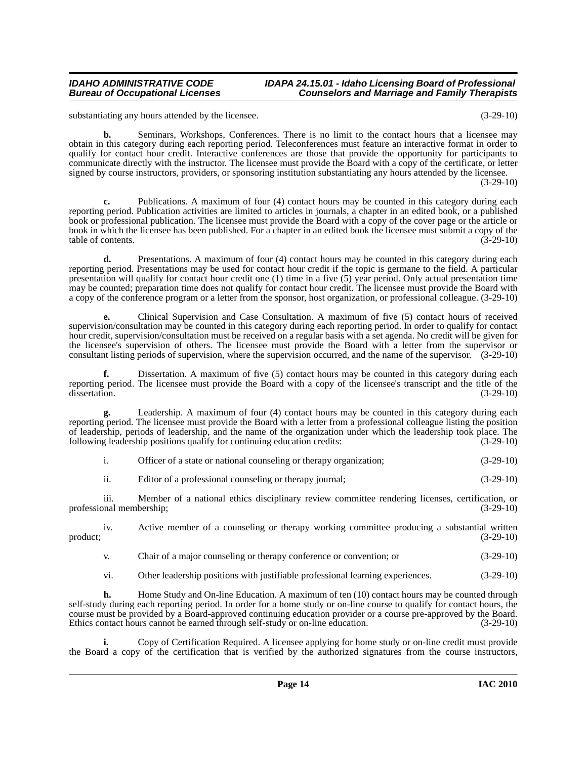substantiating any hours attended by the licensee. (3-29-10)

**b.** Seminars, Workshops, Conferences. There is no limit to the contact hours that a licensee may obtain in this category during each reporting period. Teleconferences must feature an interactive format in order to qualify for contact hour credit. Interactive conferences are those that provide the opportunity for participants to communicate directly with the instructor. The licensee must provide the Board with a copy of the certificate, or letter signed by course instructors, providers, or sponsoring institution substantiating any hours attended by the licensee.  $(3-29-10)$ 

Publications. A maximum of four (4) contact hours may be counted in this category during each reporting period. Publication activities are limited to articles in journals, a chapter in an edited book, or a published book or professional publication. The licensee must provide the Board with a copy of the cover page or the article or book in which the licensee has been published. For a chapter in an edited book the licensee must submit a copy of the table of contents. (3-29-10)

**d.** Presentations. A maximum of four (4) contact hours may be counted in this category during each reporting period. Presentations may be used for contact hour credit if the topic is germane to the field. A particular presentation will qualify for contact hour credit one (1) time in a five (5) year period. Only actual presentation time may be counted; preparation time does not qualify for contact hour credit. The licensee must provide the Board with a copy of the conference program or a letter from the sponsor, host organization, or professional colleague. (3-29-10)

**e.** Clinical Supervision and Case Consultation. A maximum of five (5) contact hours of received supervision/consultation may be counted in this category during each reporting period. In order to qualify for contact hour credit, supervision/consultation must be received on a regular basis with a set agenda. No credit will be given for the licensee's supervision of others. The licensee must provide the Board with a letter from the supervisor or consultant listing periods of supervision, where the supervision occurred, and the name of the supervisor. (3-29-10)

**f.** Dissertation. A maximum of five (5) contact hours may be counted in this category during each reporting period. The licensee must provide the Board with a copy of the licensee's transcript and the title of the dissertation. (3-29-10)

**g.** Leadership. A maximum of four (4) contact hours may be counted in this category during each reporting period. The licensee must provide the Board with a letter from a professional colleague listing the position of leadership, periods of leadership, and the name of the organization under which the leadership took place. The following leadership positions qualify for continuing education credits: (3-29-10) following leadership positions qualify for continuing education credits:

i. Officer of a state or national counseling or therapy organization; (3-29-10)

ii. Editor of a professional counseling or therapy journal; (3-29-10)

iii. Member of a national ethics disciplinary review committee rendering licenses, certification, or professional membership; (3-29-10)

iv. Active member of a counseling or therapy working committee producing a substantial written product;  $(3-29-10)$ 

v. Chair of a major counseling or therapy conference or convention; or (3-29-10)

vi. Other leadership positions with justifiable professional learning experiences. (3-29-10)

**h.** Home Study and On-line Education. A maximum of ten (10) contact hours may be counted through self-study during each reporting period. In order for a home study or on-line course to qualify for contact hours, the course must be provided by a Board-approved continuing education provider or a course pre-approved by the Board. Ethics contact hours cannot be earned through self-study or on-line education. (3-29-10)

**i.** Copy of Certification Required. A licensee applying for home study or on-line credit must provide the Board a copy of the certification that is verified by the authorized signatures from the course instructors,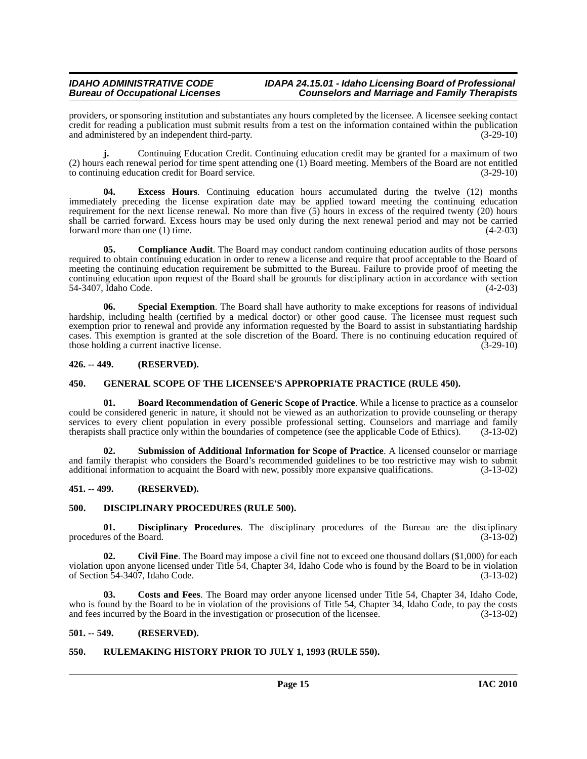providers, or sponsoring institution and substantiates any hours completed by the licensee. A licensee seeking contact credit for reading a publication must submit results from a test on the information contained within the publication and administered by an independent third-party. (3-29-10) (3-29-10)

**j.** Continuing Education Credit. Continuing education credit may be granted for a maximum of two (2) hours each renewal period for time spent attending one  $(1)$  Board meeting. Members of the Board are not entitled to continuing education credit for Board service. (3-29-10) to continuing education credit for Board service.

**04. Excess Hours**. Continuing education hours accumulated during the twelve (12) months immediately preceding the license expiration date may be applied toward meeting the continuing education requirement for the next license renewal. No more than five  $(5)$  hours in excess of the required twenty (20) hours shall be carried forward. Excess hours may be used only during the next renewal period and may not be carried forward more than one (1) time. forward more than one  $(1)$  time.

**05. Compliance Audit**. The Board may conduct random continuing education audits of those persons required to obtain continuing education in order to renew a license and require that proof acceptable to the Board of meeting the continuing education requirement be submitted to the Bureau. Failure to provide proof of meeting the continuing education upon request of the Board shall be grounds for disciplinary action in accordance with section 54-3407, Idaho Code. (4-2-03)

**06. Special Exemption**. The Board shall have authority to make exceptions for reasons of individual hardship, including health (certified by a medical doctor) or other good cause. The licensee must request such exemption prior to renewal and provide any information requested by the Board to assist in substantiating hardship cases. This exemption is granted at the sole discretion of the Board. There is no continuing education required of those holding a current inactive license. (3-29-10)

#### <span id="page-14-0"></span>**426. -- 449. (RESERVED).**

#### <span id="page-14-10"></span><span id="page-14-1"></span>**450. GENERAL SCOPE OF THE LICENSEE'S APPROPRIATE PRACTICE (RULE 450).**

<span id="page-14-6"></span>**01. Board Recommendation of Generic Scope of Practice**. While a license to practice as a counselor could be considered generic in nature, it should not be viewed as an authorization to provide counseling or therapy services to every client population in every possible professional setting. Counselors and marriage and family therapists shall practice only within the boundaries of competence (see the applicable Code of Ethics). (3-13-02)

<span id="page-14-11"></span>**02. Submission of Additional Information for Scope of Practice**. A licensed counselor or marriage and family therapist who considers the Board's recommended guidelines to be too restrictive may wish to submit additional information to acquaint the Board with new, possibly more expansive qualifications. (3-13-02)

#### <span id="page-14-2"></span>**451. -- 499. (RESERVED).**

#### <span id="page-14-9"></span><span id="page-14-3"></span>**500. DISCIPLINARY PROCEDURES (RULE 500).**

**01. Disciplinary Procedures**. The disciplinary procedures of the Bureau are the disciplinary es of the Board. (3-13-02) procedures of the Board.

<span id="page-14-7"></span>**Civil Fine**. The Board may impose a civil fine not to exceed one thousand dollars (\$1,000) for each violation upon anyone licensed under Title 54, Chapter 34, Idaho Code who is found by the Board to be in violation of Section 54-3407, Idaho Code. (3-13-02)

<span id="page-14-8"></span>**03. Costs and Fees**. The Board may order anyone licensed under Title 54, Chapter 34, Idaho Code, who is found by the Board to be in violation of the provisions of Title 54, Chapter 34, Idaho Code, to pay the costs and fees incurred by the Board in the investigation or prosecution of the licensee. (3-13-02)

#### <span id="page-14-4"></span>**501. -- 549. (RESERVED).**

#### <span id="page-14-5"></span>**550. RULEMAKING HISTORY PRIOR TO JULY 1, 1993 (RULE 550).**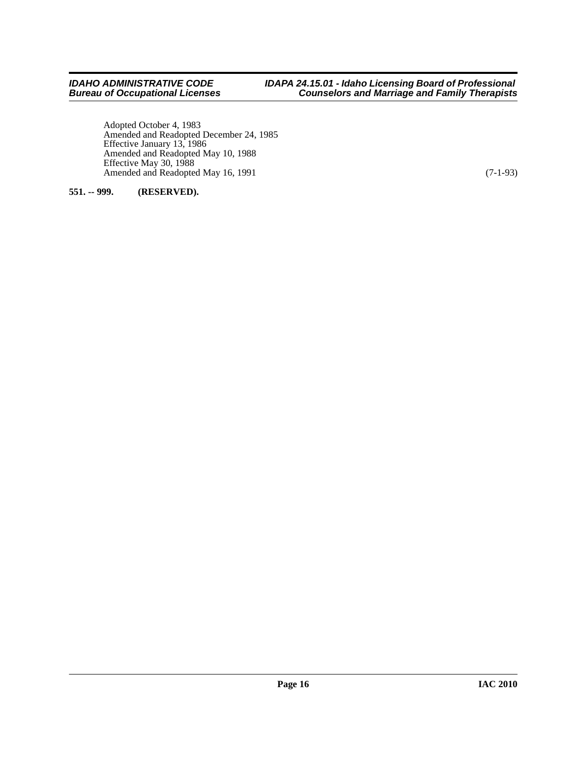Adopted October 4, 1983 Amended and Readopted December 24, 1985 Effective January 13, 1986 Amended and Readopted May 10, 1988 Effective May 30, 1988 Amended and Readopted May 16, 1991 (7-1-93)

#### <span id="page-15-0"></span>**551. -- 999. (RESERVED).**